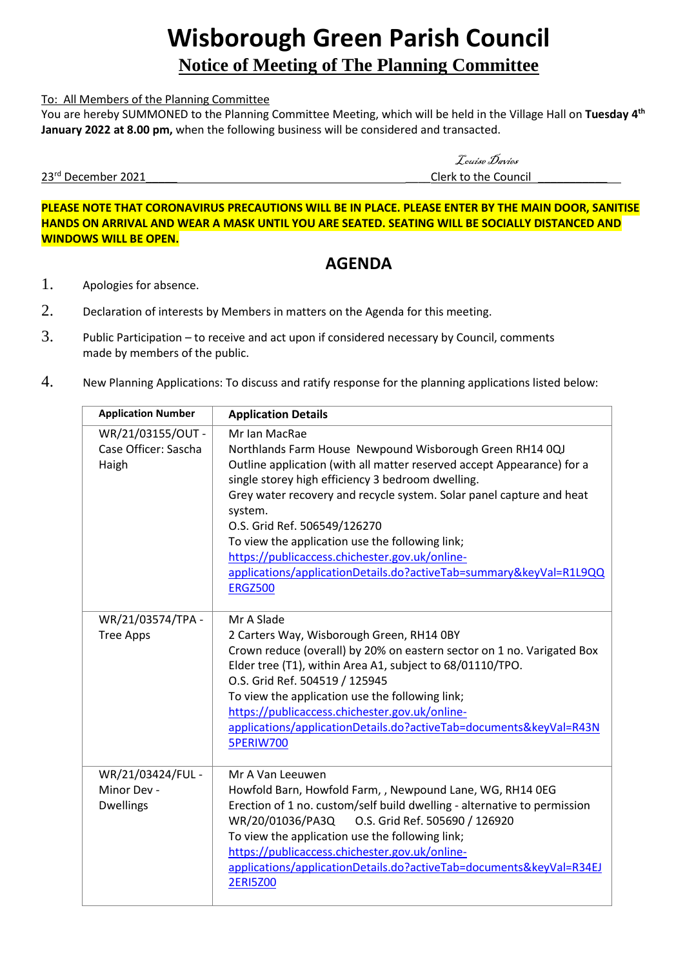# **Wisborough Green Parish Council**

# **Notice of Meeting of The Planning Committee**

#### To: All Members of the Planning Committee

You are hereby SUMMONED to the Planning Committee Meeting, which will be held in the Village Hall on **Tuesday 4 th January 2022 at 8.00 pm,** when the following business will be considered and transacted.

23rd December 2021

Louise Davies Clerk to the Council

**PLEASE NOTE THAT CORONAVIRUS PRECAUTIONS WILL BE IN PLACE. PLEASE ENTER BY THE MAIN DOOR, SANITISE HANDS ON ARRIVAL AND WEAR A MASK UNTIL YOU ARE SEATED. SEATING WILL BE SOCIALLY DISTANCED AND WINDOWS WILL BE OPEN.**

## **AGENDA**

- 1. Apologies for absence.
- 2. Declaration of interests by Members in matters on the Agenda for this meeting.
- 3. Public Participation to receive and act upon if considered necessary by Council, comments made by members of the public.
- 4. New Planning Applications: To discuss and ratify response for the planning applications listed below:

| <b>Application Number</b>                            | <b>Application Details</b>                                                                                                                                                                                                                                                                                                                                                                                                                                                                                               |
|------------------------------------------------------|--------------------------------------------------------------------------------------------------------------------------------------------------------------------------------------------------------------------------------------------------------------------------------------------------------------------------------------------------------------------------------------------------------------------------------------------------------------------------------------------------------------------------|
| WR/21/03155/OUT -<br>Case Officer: Sascha<br>Haigh   | Mr Ian MacRae<br>Northlands Farm House Newpound Wisborough Green RH14 0QJ<br>Outline application (with all matter reserved accept Appearance) for a<br>single storey high efficiency 3 bedroom dwelling.<br>Grey water recovery and recycle system. Solar panel capture and heat<br>system.<br>O.S. Grid Ref. 506549/126270<br>To view the application use the following link;<br>https://publicaccess.chichester.gov.uk/online-<br>applications/applicationDetails.do?activeTab=summary&keyVal=R1L9QQ<br><b>ERGZ500</b> |
| WR/21/03574/TPA -<br><b>Tree Apps</b>                | Mr A Slade<br>2 Carters Way, Wisborough Green, RH14 0BY<br>Crown reduce (overall) by 20% on eastern sector on 1 no. Varigated Box<br>Elder tree (T1), within Area A1, subject to 68/01110/TPO.<br>O.S. Grid Ref. 504519 / 125945<br>To view the application use the following link;<br>https://publicaccess.chichester.gov.uk/online-<br>applications/applicationDetails.do?activeTab=documents&keyVal=R43N<br><b>5PERIW700</b>                                                                                          |
| WR/21/03424/FUL -<br>Minor Dev -<br><b>Dwellings</b> | Mr A Van Leeuwen<br>Howfold Barn, Howfold Farm, , Newpound Lane, WG, RH14 OEG<br>Erection of 1 no. custom/self build dwelling - alternative to permission<br>O.S. Grid Ref. 505690 / 126920<br>WR/20/01036/PA3Q<br>To view the application use the following link;<br>https://publicaccess.chichester.gov.uk/online-<br>applications/applicationDetails.do?activeTab=documents&keyVal=R34EJ<br><b>2ERI5Z00</b>                                                                                                           |